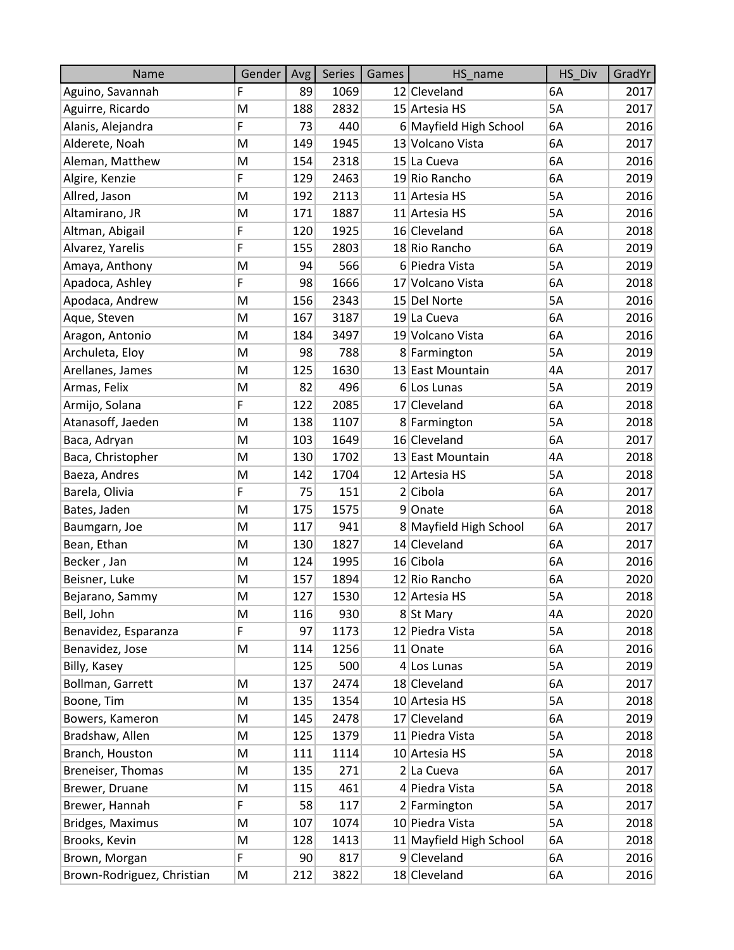| Name                       | Gender | Avg | Series | Games | HS name                 | HS Div    | GradYr |
|----------------------------|--------|-----|--------|-------|-------------------------|-----------|--------|
| Aguino, Savannah           | F      | 89  | 1069   |       | 12 Cleveland            | 6A        | 2017   |
| Aguirre, Ricardo           | M      | 188 | 2832   |       | 15 Artesia HS           | 5A        | 2017   |
| Alanis, Alejandra          | F      | 73  | 440    |       | 6 Mayfield High School  | 6A        | 2016   |
| Alderete, Noah             | M      | 149 | 1945   |       | 13 Volcano Vista        | 6A        | 2017   |
| Aleman, Matthew            | M      | 154 | 2318   |       | 15 La Cueva             | 6A        | 2016   |
| Algire, Kenzie             | F      | 129 | 2463   |       | 19 Rio Rancho           | 6A        | 2019   |
| Allred, Jason              | M      | 192 | 2113   |       | 11 Artesia HS           | 5A        | 2016   |
| Altamirano, JR             | M      | 171 | 1887   |       | 11 Artesia HS           | 5A        | 2016   |
| Altman, Abigail            | F      | 120 | 1925   |       | 16 Cleveland            | 6A        | 2018   |
| Alvarez, Yarelis           | F      | 155 | 2803   |       | 18 Rio Rancho           | 6A        | 2019   |
| Amaya, Anthony             | M      | 94  | 566    |       | 6 Piedra Vista          | 5A        | 2019   |
| Apadoca, Ashley            | F      | 98  | 1666   |       | 17 Volcano Vista        | 6A        | 2018   |
| Apodaca, Andrew            | M      | 156 | 2343   |       | 15 Del Norte            | 5A        | 2016   |
| Aque, Steven               | M      | 167 | 3187   |       | 19 La Cueva             | 6A        | 2016   |
| Aragon, Antonio            | M      | 184 | 3497   |       | 19 Volcano Vista        | 6A        | 2016   |
| Archuleta, Eloy            | M      | 98  | 788    |       | 8 Farmington            | 5A        | 2019   |
| Arellanes, James           | M      | 125 | 1630   |       | 13 East Mountain        | 4A        | 2017   |
| Armas, Felix               | M      | 82  | 496    |       | 6 Los Lunas             | 5A        | 2019   |
| Armijo, Solana             | F      | 122 | 2085   |       | 17 Cleveland            | 6A        | 2018   |
| Atanasoff, Jaeden          | M      | 138 | 1107   |       | 8 Farmington            | 5A        | 2018   |
| Baca, Adryan               | M      | 103 | 1649   |       | 16 Cleveland            | 6A        | 2017   |
| Baca, Christopher          | M      | 130 | 1702   |       | 13 East Mountain        | 4A        | 2018   |
| Baeza, Andres              | M      | 142 | 1704   |       | 12 Artesia HS           | 5A        | 2018   |
| Barela, Olivia             | F      | 75  | 151    |       | 2 Cibola                | 6A        | 2017   |
| Bates, Jaden               | M      | 175 | 1575   |       | 9 Onate                 | 6A        | 2018   |
| Baumgarn, Joe              | M      | 117 | 941    |       | 8 Mayfield High School  | 6A        | 2017   |
| Bean, Ethan                | M      | 130 | 1827   |       | 14 Cleveland            | 6A        | 2017   |
| Becker, Jan                | M      | 124 | 1995   |       | 16 Cibola               | 6A        | 2016   |
| Beisner, Luke              | M      | 157 | 1894   |       | 12 Rio Rancho           | 6A        | 2020   |
| Bejarano, Sammy            | M      | 127 | 1530   |       | 12 Artesia HS           | <b>5A</b> | 2018   |
| Bell, John                 | M      | 116 | 930    |       | 8 St Mary               | 4A        | 2020   |
| Benavidez, Esparanza       | F      | 97  | 1173   |       | 12 Piedra Vista         | 5A        | 2018   |
| Benavidez, Jose            | M      | 114 | 1256   |       | 11 Onate                | 6A        | 2016   |
| Billy, Kasey               |        | 125 | 500    |       | $4$ Los Lunas           | 5A        | 2019   |
| Bollman, Garrett           | M      | 137 | 2474   |       | 18 Cleveland            | 6A        | 2017   |
| Boone, Tim                 | M      | 135 | 1354   |       | 10 Artesia HS           | 5A        | 2018   |
| Bowers, Kameron            | M      | 145 | 2478   |       | 17 Cleveland            | 6A        | 2019   |
| Bradshaw, Allen            | M      | 125 | 1379   |       | 11 Piedra Vista         | 5A        | 2018   |
| Branch, Houston            | M      | 111 | 1114   |       | 10 Artesia HS           | 5A        | 2018   |
| Breneiser, Thomas          | M      | 135 | 271    |       | $2 $ La Cueva           | 6A        | 2017   |
| Brewer, Druane             | M      | 115 | 461    |       | 4 Piedra Vista          | 5A        | 2018   |
| Brewer, Hannah             | F      | 58  | 117    |       | 2 Farmington            | 5A        | 2017   |
| Bridges, Maximus           | M      | 107 | 1074   |       | 10 Piedra Vista         | 5A        | 2018   |
| Brooks, Kevin              | M      | 128 | 1413   |       | 11 Mayfield High School | 6A        | 2018   |
| Brown, Morgan              | F      | 90  | 817    |       | 9 Cleveland             | 6A        | 2016   |
| Brown-Rodriguez, Christian | M      | 212 | 3822   |       | 18 Cleveland            | 6A        | 2016   |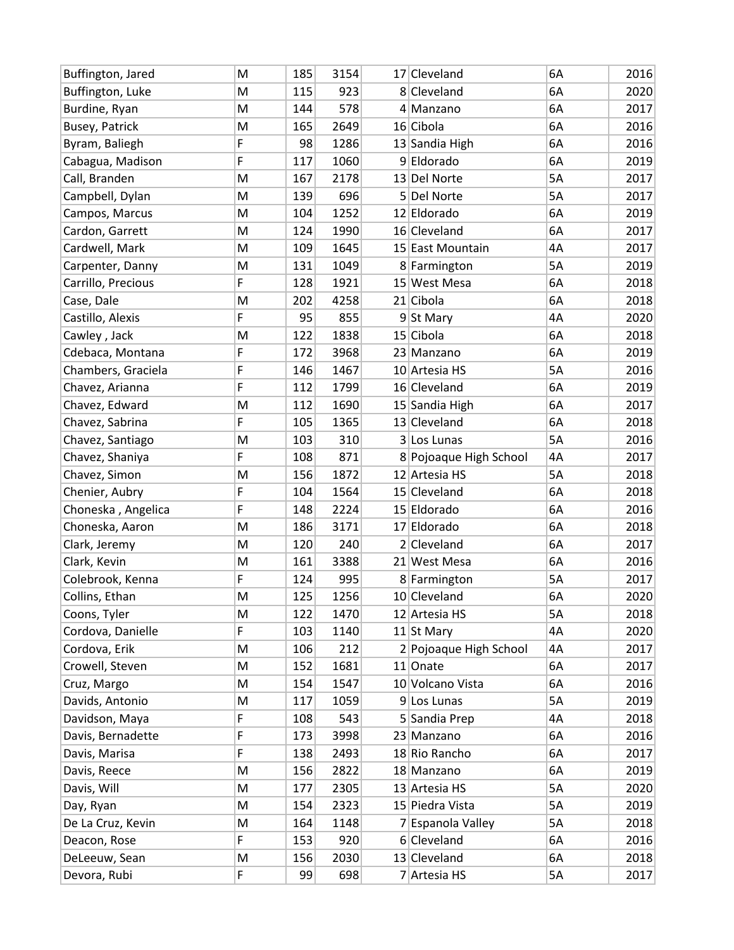| Buffington, Jared  | M | 185 | 3154 | 17 Cleveland           | 6A | 2016 |
|--------------------|---|-----|------|------------------------|----|------|
| Buffington, Luke   | M | 115 | 923  | 8 Cleveland            | 6A | 2020 |
| Burdine, Ryan      | M | 144 | 578  | 4 Manzano              | 6A | 2017 |
| Busey, Patrick     | M | 165 | 2649 | 16 Cibola              | 6A | 2016 |
| Byram, Baliegh     | F | 98  | 1286 | 13 Sandia High         | 6A | 2016 |
| Cabagua, Madison   | F | 117 | 1060 | 9 Eldorado             | 6A | 2019 |
| Call, Branden      | M | 167 | 2178 | 13 Del Norte           | 5A | 2017 |
| Campbell, Dylan    | M | 139 | 696  | 5 Del Norte            | 5A | 2017 |
| Campos, Marcus     | M | 104 | 1252 | 12 Eldorado            | 6A | 2019 |
| Cardon, Garrett    | M | 124 | 1990 | 16 Cleveland           | 6A | 2017 |
| Cardwell, Mark     | M | 109 | 1645 | 15 East Mountain       | 4A | 2017 |
| Carpenter, Danny   | M | 131 | 1049 | 8 Farmington           | 5A | 2019 |
| Carrillo, Precious | F | 128 | 1921 | 15 West Mesa           | 6A | 2018 |
| Case, Dale         | M | 202 | 4258 | 21 Cibola              | 6A | 2018 |
| Castillo, Alexis   | F | 95  | 855  | 9 St Mary              | 4A | 2020 |
| Cawley, Jack       | M | 122 | 1838 | 15 Cibola              | 6A | 2018 |
| Cdebaca, Montana   | F | 172 | 3968 | 23 Manzano             | 6A | 2019 |
| Chambers, Graciela | F | 146 | 1467 | 10 Artesia HS          | 5A | 2016 |
| Chavez, Arianna    | F | 112 | 1799 | 16 Cleveland           | 6A | 2019 |
| Chavez, Edward     | M | 112 | 1690 | 15 Sandia High         | 6A | 2017 |
| Chavez, Sabrina    | F | 105 | 1365 | 13 Cleveland           | 6A | 2018 |
| Chavez, Santiago   | M | 103 | 310  | 3 Los Lunas            | 5A | 2016 |
| Chavez, Shaniya    | F | 108 | 871  | 8 Pojoaque High School | 4A | 2017 |
| Chavez, Simon      | M | 156 | 1872 | 12 Artesia HS          | 5A | 2018 |
| Chenier, Aubry     | F | 104 | 1564 | 15 Cleveland           | 6A | 2018 |
| Choneska, Angelica | F | 148 | 2224 | 15 Eldorado            | 6A | 2016 |
| Choneska, Aaron    | M | 186 | 3171 | 17 Eldorado            | 6A | 2018 |
| Clark, Jeremy      | M | 120 | 240  | 2 Cleveland            | 6A | 2017 |
| Clark, Kevin       | M | 161 | 3388 | 21 West Mesa           | 6A | 2016 |
| Colebrook, Kenna   | F | 124 | 995  | 8 Farmington           | 5A | 2017 |
| Collins, Ethan     | M | 125 | 1256 | 10 Cleveland           | 6A | 2020 |
| Coons, Tyler       | M | 122 | 1470 | 12 Artesia HS          | 5A | 2018 |
| Cordova, Danielle  | F | 103 | 1140 | 11 St Mary             | 4A | 2020 |
| Cordova, Erik      | M | 106 | 212  | 2 Pojoaque High School | 4A | 2017 |
| Crowell, Steven    | M | 152 | 1681 | 11 Onate               | 6A | 2017 |
| Cruz, Margo        | M | 154 | 1547 | 10 Volcano Vista       | 6A | 2016 |
| Davids, Antonio    | M | 117 | 1059 | 9 Los Lunas            | 5A | 2019 |
| Davidson, Maya     | F | 108 | 543  | 5 Sandia Prep          | 4A | 2018 |
| Davis, Bernadette  | F | 173 | 3998 | 23 Manzano             | 6A | 2016 |
| Davis, Marisa      | F | 138 | 2493 | 18 Rio Rancho          | 6A | 2017 |
| Davis, Reece       | M | 156 | 2822 | 18 Manzano             | 6A | 2019 |
| Davis, Will        | M | 177 | 2305 | 13 Artesia HS          | 5A | 2020 |
| Day, Ryan          | M | 154 | 2323 | 15 Piedra Vista        | 5A | 2019 |
| De La Cruz, Kevin  | M | 164 | 1148 | 7 Espanola Valley      | 5А | 2018 |
| Deacon, Rose       | F | 153 | 920  | 6 Cleveland            | 6A | 2016 |
| DeLeeuw, Sean      | M | 156 | 2030 | 13 Cleveland           | 6A | 2018 |
| Devora, Rubi       | F | 99  | 698  | 7 Artesia HS           | 5A | 2017 |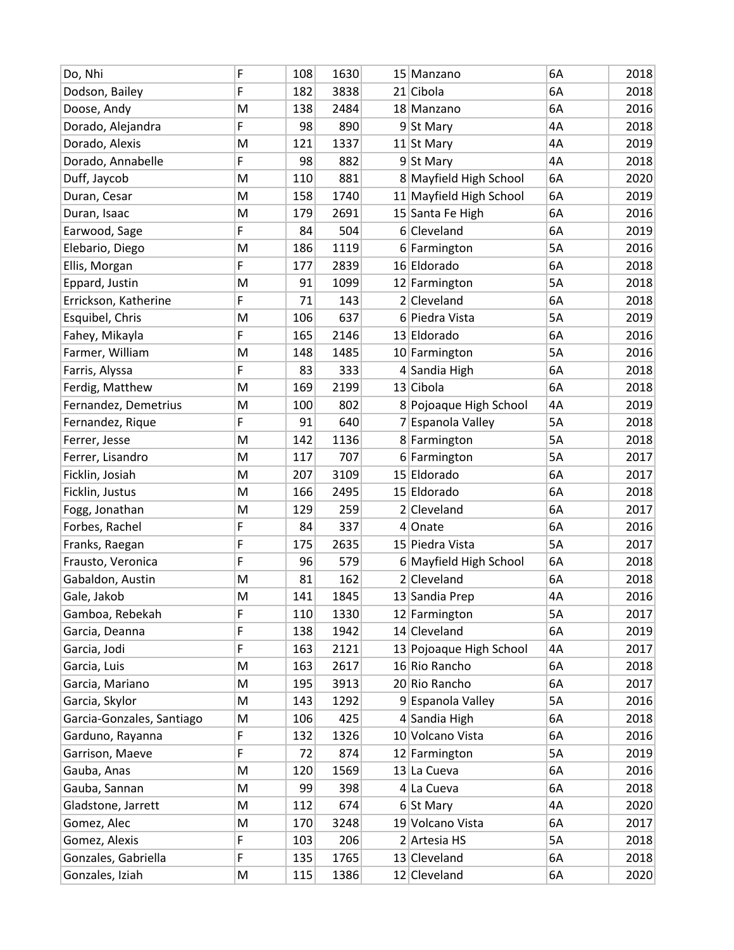| Do, Nhi                   | F | 108 | 1630 | 15 Manzano              | 6A | 2018 |
|---------------------------|---|-----|------|-------------------------|----|------|
| Dodson, Bailey            | F | 182 | 3838 | 21 Cibola               | 6A | 2018 |
| Doose, Andy               | M | 138 | 2484 | 18 Manzano              | 6A | 2016 |
| Dorado, Alejandra         | F | 98  | 890  | $9$ St Mary             | 4A | 2018 |
| Dorado, Alexis            | M | 121 | 1337 | 11 St Mary              | 4A | 2019 |
| Dorado, Annabelle         | F | 98  | 882  | 9 St Mary               | 4A | 2018 |
| Duff, Jaycob              | M | 110 | 881  | 8 Mayfield High School  | 6A | 2020 |
| Duran, Cesar              | M | 158 | 1740 | 11 Mayfield High School | 6A | 2019 |
| Duran, Isaac              | M | 179 | 2691 | 15 Santa Fe High        | 6A | 2016 |
| Earwood, Sage             | F | 84  | 504  | 6 Cleveland             | 6A | 2019 |
| Elebario, Diego           | M | 186 | 1119 | 6 Farmington            | 5A | 2016 |
| Ellis, Morgan             | F | 177 | 2839 | 16 Eldorado             | 6A | 2018 |
| Eppard, Justin            | M | 91  | 1099 | 12 Farmington           | 5A | 2018 |
| Errickson, Katherine      | F | 71  | 143  | 2 Cleveland             | 6A | 2018 |
| Esquibel, Chris           | M | 106 | 637  | 6 Piedra Vista          | 5A | 2019 |
| Fahey, Mikayla            | F | 165 | 2146 | 13 Eldorado             | 6A | 2016 |
| Farmer, William           | M | 148 | 1485 | 10 Farmington           | 5A | 2016 |
| Farris, Alyssa            | F | 83  | 333  | 4 Sandia High           | 6A | 2018 |
| Ferdig, Matthew           | M | 169 | 2199 | 13 Cibola               | 6A | 2018 |
| Fernandez, Demetrius      | M | 100 | 802  | 8 Pojoaque High School  | 4A | 2019 |
| Fernandez, Rique          | F | 91  | 640  | 7 Espanola Valley       | 5A | 2018 |
| Ferrer, Jesse             | M | 142 | 1136 | 8 Farmington            | 5A | 2018 |
| Ferrer, Lisandro          | M | 117 | 707  | 6 Farmington            | 5A | 2017 |
| Ficklin, Josiah           | M | 207 | 3109 | 15 Eldorado             | 6A | 2017 |
| Ficklin, Justus           | M | 166 | 2495 | 15 Eldorado             | 6A | 2018 |
| Fogg, Jonathan            | M | 129 | 259  | 2 Cleveland             | 6A | 2017 |
| Forbes, Rachel            | F | 84  | 337  | 4 Onate                 | 6A | 2016 |
| Franks, Raegan            | F | 175 | 2635 | 15 Piedra Vista         | 5A | 2017 |
| Frausto, Veronica         | F | 96  | 579  | 6 Mayfield High School  | 6A | 2018 |
| Gabaldon, Austin          | M | 81  | 162  | 2 Cleveland             | 6A | 2018 |
| Gale, Jakob               | M | 141 | 1845 | 13 Sandia Prep          | 4A | 2016 |
| Gamboa, Rebekah           | F | 110 | 1330 | 12 Farmington           | 5A | 2017 |
| Garcia, Deanna            | F | 138 | 1942 | 14 Cleveland            | 6A | 2019 |
| Garcia, Jodi              | F | 163 | 2121 | 13 Pojoaque High School | 4Α | 2017 |
| Garcia, Luis              | M | 163 | 2617 | 16 Rio Rancho           | 6A | 2018 |
| Garcia, Mariano           | M | 195 | 3913 | 20 Rio Rancho           | 6A | 2017 |
| Garcia, Skylor            | M | 143 | 1292 | 9 Espanola Valley       | 5A | 2016 |
| Garcia-Gonzales, Santiago | M | 106 | 425  | 4 Sandia High           | 6A | 2018 |
| Garduno, Rayanna          | F | 132 | 1326 | 10 Volcano Vista        | 6A | 2016 |
| Garrison, Maeve           | F | 72  | 874  | 12 Farmington           | 5A | 2019 |
| Gauba, Anas               | M | 120 | 1569 | 13 La Cueva             | 6A | 2016 |
| Gauba, Sannan             | M | 99  | 398  | $4$ La Cueva            | 6A | 2018 |
| Gladstone, Jarrett        | M | 112 | 674  | $6$ St Mary             | 4A | 2020 |
| Gomez, Alec               | M | 170 | 3248 | 19 Volcano Vista        | 6A | 2017 |
| Gomez, Alexis             | F | 103 | 206  | 2 Artesia HS            | 5A | 2018 |
| Gonzales, Gabriella       | F | 135 | 1765 | 13 Cleveland            | 6A | 2018 |
| Gonzales, Iziah           | M | 115 | 1386 | 12 Cleveland            | 6A | 2020 |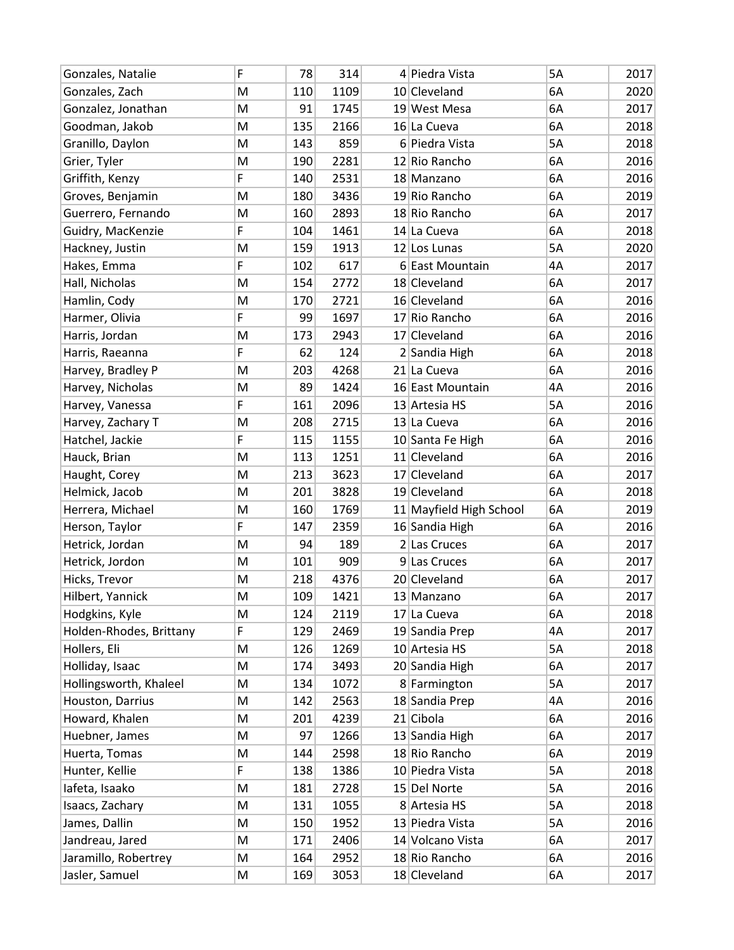| Gonzales, Natalie       | F | 78  | 314  | 4 Piedra Vista          | 5A | 2017 |
|-------------------------|---|-----|------|-------------------------|----|------|
| Gonzales, Zach          | M | 110 | 1109 | 10 Cleveland            | 6A | 2020 |
| Gonzalez, Jonathan      | M | 91  | 1745 | 19 West Mesa            | 6A | 2017 |
| Goodman, Jakob          | M | 135 | 2166 | 16 La Cueva             | 6A | 2018 |
| Granillo, Daylon        | M | 143 | 859  | 6 Piedra Vista          | 5A | 2018 |
| Grier, Tyler            | M | 190 | 2281 | 12 Rio Rancho           | 6A | 2016 |
| Griffith, Kenzy         | F | 140 | 2531 | 18 Manzano              | 6A | 2016 |
| Groves, Benjamin        | M | 180 | 3436 | 19 Rio Rancho           | 6A | 2019 |
| Guerrero, Fernando      | M | 160 | 2893 | 18 Rio Rancho           | 6A | 2017 |
| Guidry, MacKenzie       | F | 104 | 1461 | 14 La Cueva             | 6A | 2018 |
| Hackney, Justin         | M | 159 | 1913 | 12 Los Lunas            | 5A | 2020 |
| Hakes, Emma             | F | 102 | 617  | 6 East Mountain         | 4A | 2017 |
| Hall, Nicholas          | M | 154 | 2772 | 18 Cleveland            | 6A | 2017 |
| Hamlin, Cody            | M | 170 | 2721 | 16 Cleveland            | 6A | 2016 |
| Harmer, Olivia          | F | 99  | 1697 | 17 Rio Rancho           | 6A | 2016 |
| Harris, Jordan          | M | 173 | 2943 | 17 Cleveland            | 6A | 2016 |
| Harris, Raeanna         | F | 62  | 124  | 2 Sandia High           | 6A | 2018 |
| Harvey, Bradley P       | M | 203 | 4268 | 21 La Cueva             | 6A | 2016 |
| Harvey, Nicholas        | M | 89  | 1424 | 16 East Mountain        | 4A | 2016 |
| Harvey, Vanessa         | F | 161 | 2096 | 13 Artesia HS           | 5A | 2016 |
| Harvey, Zachary T       | M | 208 | 2715 | 13 La Cueva             | 6A | 2016 |
| Hatchel, Jackie         | F | 115 | 1155 | 10 Santa Fe High        | 6A | 2016 |
| Hauck, Brian            | M | 113 | 1251 | 11 Cleveland            | 6A | 2016 |
| Haught, Corey           | M | 213 | 3623 | 17 Cleveland            | 6A | 2017 |
| Helmick, Jacob          | M | 201 | 3828 | 19 Cleveland            | 6A | 2018 |
| Herrera, Michael        | M | 160 | 1769 | 11 Mayfield High School | 6A | 2019 |
| Herson, Taylor          | F | 147 | 2359 | 16 Sandia High          | 6A | 2016 |
| Hetrick, Jordan         | M | 94  | 189  | 2 Las Cruces            | 6A | 2017 |
| Hetrick, Jordon         | M | 101 | 909  | 9 Las Cruces            | 6A | 2017 |
| Hicks, Trevor           | M | 218 | 4376 | 20 Cleveland            | 6A | 2017 |
| Hilbert, Yannick        | M | 109 | 1421 | 13 Manzano              | 6A | 2017 |
| Hodgkins, Kyle          | M | 124 | 2119 | 17 La Cueva             | 6A | 2018 |
| Holden-Rhodes, Brittany | F | 129 | 2469 | 19 Sandia Prep          | 4A | 2017 |
| Hollers, Eli            | M | 126 | 1269 | 10 Artesia HS           | 5A | 2018 |
| Holliday, Isaac         | M | 174 | 3493 | 20 Sandia High          | 6A | 2017 |
| Hollingsworth, Khaleel  | M | 134 | 1072 | 8 Farmington            | 5A | 2017 |
| Houston, Darrius        | M | 142 | 2563 | 18 Sandia Prep          | 4A | 2016 |
| Howard, Khalen          | M | 201 | 4239 | 21 Cibola               | 6A | 2016 |
| Huebner, James          | M | 97  | 1266 | 13 Sandia High          | 6A | 2017 |
| Huerta, Tomas           | M | 144 | 2598 | 18 Rio Rancho           | 6A | 2019 |
| Hunter, Kellie          | F | 138 | 1386 | 10 Piedra Vista         | 5A | 2018 |
| lafeta, Isaako          | M | 181 | 2728 | 15 Del Norte            | 5A | 2016 |
| Isaacs, Zachary         | M | 131 | 1055 | 8 Artesia HS            | 5А | 2018 |
| James, Dallin           | M | 150 | 1952 | 13 Piedra Vista         | 5A | 2016 |
| Jandreau, Jared         | M | 171 | 2406 | 14 Volcano Vista        | 6A | 2017 |
| Jaramillo, Robertrey    | M | 164 | 2952 | 18 Rio Rancho           | 6A | 2016 |
| Jasler, Samuel          | M | 169 | 3053 | 18 Cleveland            | 6A | 2017 |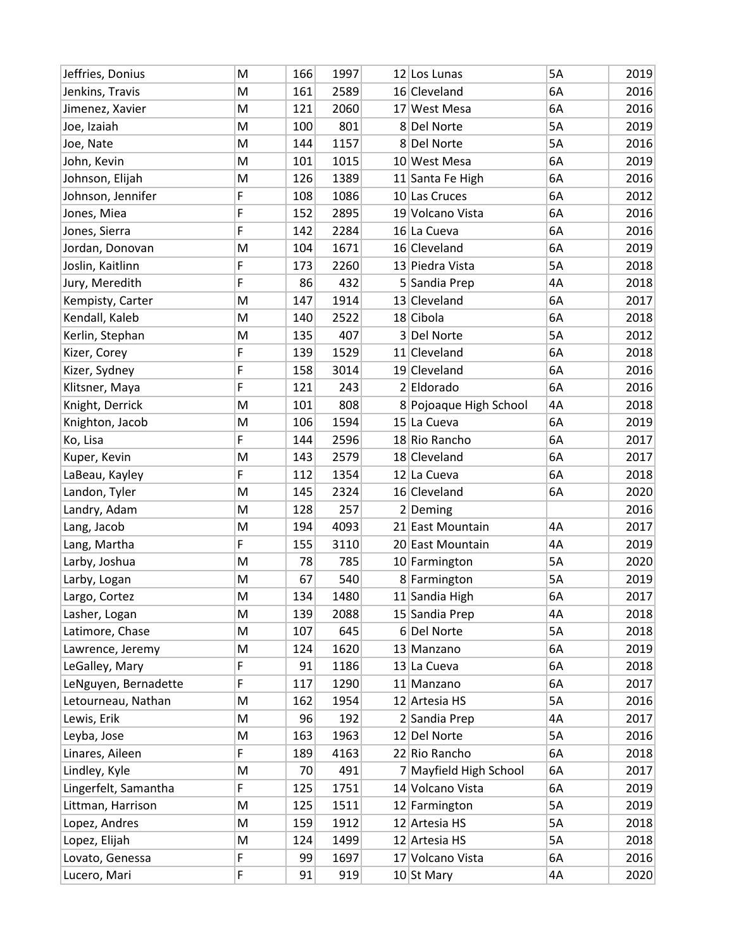| Jeffries, Donius     | M | 166 | 1997 | 12 Los Lunas           | 5A | 2019 |
|----------------------|---|-----|------|------------------------|----|------|
| Jenkins, Travis      | M | 161 | 2589 | 16 Cleveland           | 6A | 2016 |
| Jimenez, Xavier      | M | 121 | 2060 | 17 West Mesa           | 6A | 2016 |
| Joe, Izaiah          | M | 100 | 801  | 8 Del Norte            | 5A | 2019 |
| Joe, Nate            | M | 144 | 1157 | 8 Del Norte            | 5A | 2016 |
| John, Kevin          | M | 101 | 1015 | 10 West Mesa           | 6A | 2019 |
| Johnson, Elijah      | M | 126 | 1389 | 11 Santa Fe High       | 6A | 2016 |
| Johnson, Jennifer    | F | 108 | 1086 | 10 Las Cruces          | 6A | 2012 |
| Jones, Miea          | F | 152 | 2895 | 19 Volcano Vista       | 6A | 2016 |
| Jones, Sierra        | F | 142 | 2284 | 16 La Cueva            | 6A | 2016 |
| Jordan, Donovan      | M | 104 | 1671 | 16 Cleveland           | 6A | 2019 |
| Joslin, Kaitlinn     | F | 173 | 2260 | 13 Piedra Vista        | 5A | 2018 |
| Jury, Meredith       | F | 86  | 432  | 5 Sandia Prep          | 4A | 2018 |
| Kempisty, Carter     | M | 147 | 1914 | 13 Cleveland           | 6A | 2017 |
| Kendall, Kaleb       | M | 140 | 2522 | 18 Cibola              | 6A | 2018 |
| Kerlin, Stephan      | M | 135 | 407  | 3 Del Norte            | 5A | 2012 |
| Kizer, Corey         | F | 139 | 1529 | 11 Cleveland           | 6A | 2018 |
| Kizer, Sydney        | F | 158 | 3014 | 19 Cleveland           | 6A | 2016 |
| Klitsner, Maya       | F | 121 | 243  | 2 Eldorado             | 6A | 2016 |
| Knight, Derrick      | M | 101 | 808  | 8 Pojoaque High School | 4A | 2018 |
| Knighton, Jacob      | M | 106 | 1594 | 15 La Cueva            | 6A | 2019 |
| Ko, Lisa             | F | 144 | 2596 | 18 Rio Rancho          | 6A | 2017 |
| Kuper, Kevin         | M | 143 | 2579 | 18 Cleveland           | 6A | 2017 |
| LaBeau, Kayley       | F | 112 | 1354 | 12 La Cueva            | 6A | 2018 |
| Landon, Tyler        | M | 145 | 2324 | 16 Cleveland           | 6A | 2020 |
| Landry, Adam         | M | 128 | 257  | $2$ Deming             |    | 2016 |
| Lang, Jacob          | M | 194 | 4093 | 21 East Mountain       | 4A | 2017 |
| Lang, Martha         | F | 155 | 3110 | 20 East Mountain       | 4A | 2019 |
| Larby, Joshua        | M | 78  | 785  | 10 Farmington          | 5A | 2020 |
| Larby, Logan         | M | 67  | 540  | 8 Farmington           | 5A | 2019 |
| Largo, Cortez        | M | 134 | 1480 | 11 Sandia High         | 6A | 2017 |
| Lasher, Logan        | M | 139 | 2088 | 15 Sandia Prep         | 4A | 2018 |
| Latimore, Chase      | M | 107 | 645  | 6 Del Norte            | 5A | 2018 |
| Lawrence, Jeremy     | M | 124 | 1620 | 13 Manzano             | 6A | 2019 |
| LeGalley, Mary       | F | 91  | 1186 | 13 La Cueva            | 6A | 2018 |
| LeNguyen, Bernadette | F | 117 | 1290 | 11 Manzano             | 6A | 2017 |
| Letourneau, Nathan   | M | 162 | 1954 | 12 Artesia HS          | 5A | 2016 |
| Lewis, Erik          | M | 96  | 192  | 2 Sandia Prep          | 4A | 2017 |
| Leyba, Jose          | M | 163 | 1963 | 12 Del Norte           | 5A | 2016 |
| Linares, Aileen      | F | 189 | 4163 | 22 Rio Rancho          | 6A | 2018 |
| Lindley, Kyle        | M | 70  | 491  | 7 Mayfield High School | 6A | 2017 |
| Lingerfelt, Samantha | F | 125 | 1751 | 14 Volcano Vista       | 6A | 2019 |
| Littman, Harrison    | M | 125 | 1511 | 12 Farmington          | 5A | 2019 |
| Lopez, Andres        | M | 159 | 1912 | 12 Artesia HS          | 5A | 2018 |
| Lopez, Elijah        | M | 124 | 1499 | 12 Artesia HS          | 5A | 2018 |
| Lovato, Genessa      | F | 99  | 1697 | 17 Volcano Vista       | 6A | 2016 |
| Lucero, Mari         | F | 91  | 919  | 10 St Mary             | 4A | 2020 |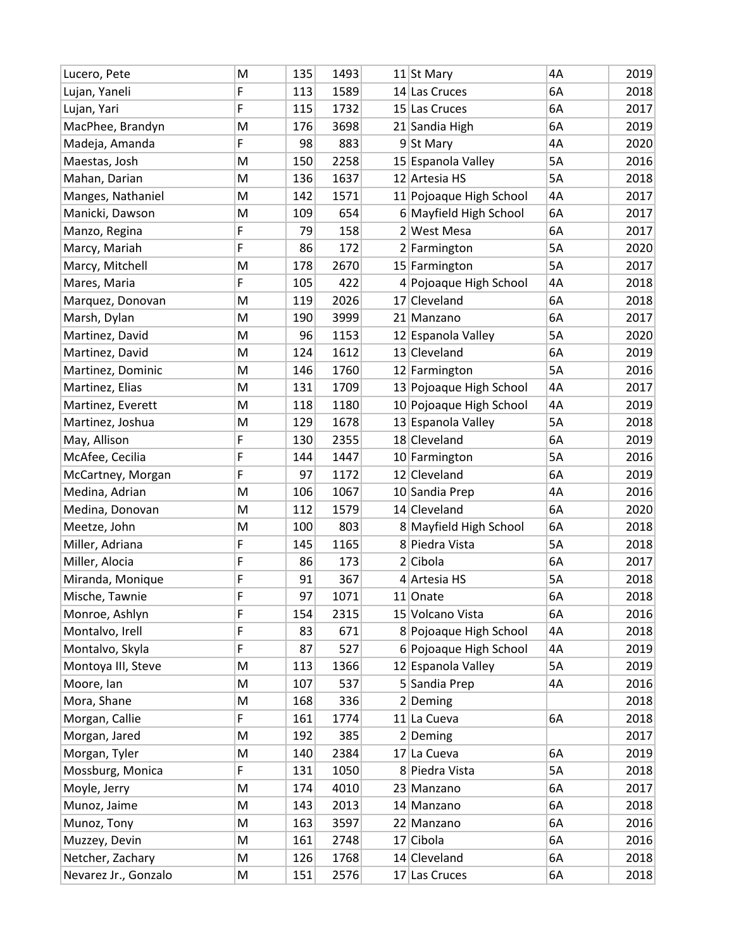| Lucero, Pete         | M | 135 | 1493 | 11 St Mary              | 4A | 2019 |
|----------------------|---|-----|------|-------------------------|----|------|
| Lujan, Yaneli        | F | 113 | 1589 | 14 Las Cruces           | 6A | 2018 |
| Lujan, Yari          | F | 115 | 1732 | 15 Las Cruces           | 6A | 2017 |
| MacPhee, Brandyn     | M | 176 | 3698 | 21 Sandia High          | 6A | 2019 |
| Madeja, Amanda       | F | 98  | 883  | 9 St Mary               | 4A | 2020 |
| Maestas, Josh        | M | 150 | 2258 | 15 Espanola Valley      | 5A | 2016 |
| Mahan, Darian        | M | 136 | 1637 | 12 Artesia HS           | 5A | 2018 |
| Manges, Nathaniel    | M | 142 | 1571 | 11 Pojoaque High School | 4A | 2017 |
| Manicki, Dawson      | M | 109 | 654  | 6 Mayfield High School  | 6A | 2017 |
| Manzo, Regina        | F | 79  | 158  | 2 West Mesa             | 6A | 2017 |
| Marcy, Mariah        | F | 86  | 172  | 2 Farmington            | 5A | 2020 |
| Marcy, Mitchell      | M | 178 | 2670 | 15 Farmington           | 5A | 2017 |
| Mares, Maria         | F | 105 | 422  | 4 Pojoaque High School  | 4A | 2018 |
| Marquez, Donovan     | M | 119 | 2026 | 17 Cleveland            | 6A | 2018 |
| Marsh, Dylan         | M | 190 | 3999 | 21 Manzano              | 6A | 2017 |
| Martinez, David      | M | 96  | 1153 | 12 Espanola Valley      | 5A | 2020 |
| Martinez, David      | M | 124 | 1612 | 13 Cleveland            | 6A | 2019 |
| Martinez, Dominic    | M | 146 | 1760 | 12 Farmington           | 5A | 2016 |
| Martinez, Elias      | M | 131 | 1709 | 13 Pojoaque High School | 4A | 2017 |
| Martinez, Everett    | M | 118 | 1180 | 10 Pojoaque High School | 4A | 2019 |
| Martinez, Joshua     | M | 129 | 1678 | 13 Espanola Valley      | 5A | 2018 |
| May, Allison         | F | 130 | 2355 | 18 Cleveland            | 6A | 2019 |
| McAfee, Cecilia      | F | 144 | 1447 | 10 Farmington           | 5A | 2016 |
| McCartney, Morgan    | F | 97  | 1172 | 12 Cleveland            | 6A | 2019 |
| Medina, Adrian       | M | 106 | 1067 | 10 Sandia Prep          | 4A | 2016 |
| Medina, Donovan      | M | 112 | 1579 | 14 Cleveland            | 6A | 2020 |
| Meetze, John         | M | 100 | 803  | 8 Mayfield High School  | 6A | 2018 |
| Miller, Adriana      | F | 145 | 1165 | 8 Piedra Vista          | 5A | 2018 |
| Miller, Alocia       | F | 86  | 173  | 2 Cibola                | 6A | 2017 |
| Miranda, Monique     | F | 91  | 367  | 4 Artesia HS            | 5A | 2018 |
| Mische, Tawnie       | F | 97  | 1071 | 11 Onate                | 6A | 2018 |
| Monroe, Ashlyn       | F | 154 | 2315 | 15 Volcano Vista        | 6A | 2016 |
| Montalvo, Irell      | F | 83  | 671  | 8 Pojoaque High School  | 4A | 2018 |
| Montalvo, Skyla      | F | 87  | 527  | 6 Pojoaque High School  | 4A | 2019 |
| Montoya III, Steve   | M | 113 | 1366 | 12 Espanola Valley      | 5A | 2019 |
| Moore, lan           | M | 107 | 537  | 5 Sandia Prep           | 4A | 2016 |
| Mora, Shane          | M | 168 | 336  | $2$ Deming              |    | 2018 |
| Morgan, Callie       | F | 161 | 1774 | 11 La Cueva             | 6A | 2018 |
| Morgan, Jared        | M | 192 | 385  | $2$ Deming              |    | 2017 |
| Morgan, Tyler        | M | 140 | 2384 | 17 La Cueva             | 6A | 2019 |
| Mossburg, Monica     | F | 131 | 1050 | 8 Piedra Vista          | 5A | 2018 |
| Moyle, Jerry         | M | 174 | 4010 | 23 Manzano              | 6A | 2017 |
| Munoz, Jaime         | M | 143 | 2013 | 14 Manzano              | 6A | 2018 |
| Munoz, Tony          | M | 163 | 3597 | 22 Manzano              | 6A | 2016 |
| Muzzey, Devin        | M | 161 | 2748 | 17 Cibola               | 6A | 2016 |
| Netcher, Zachary     | M | 126 | 1768 | 14 Cleveland            | 6A | 2018 |
| Nevarez Jr., Gonzalo | M | 151 | 2576 | 17 Las Cruces           | 6A | 2018 |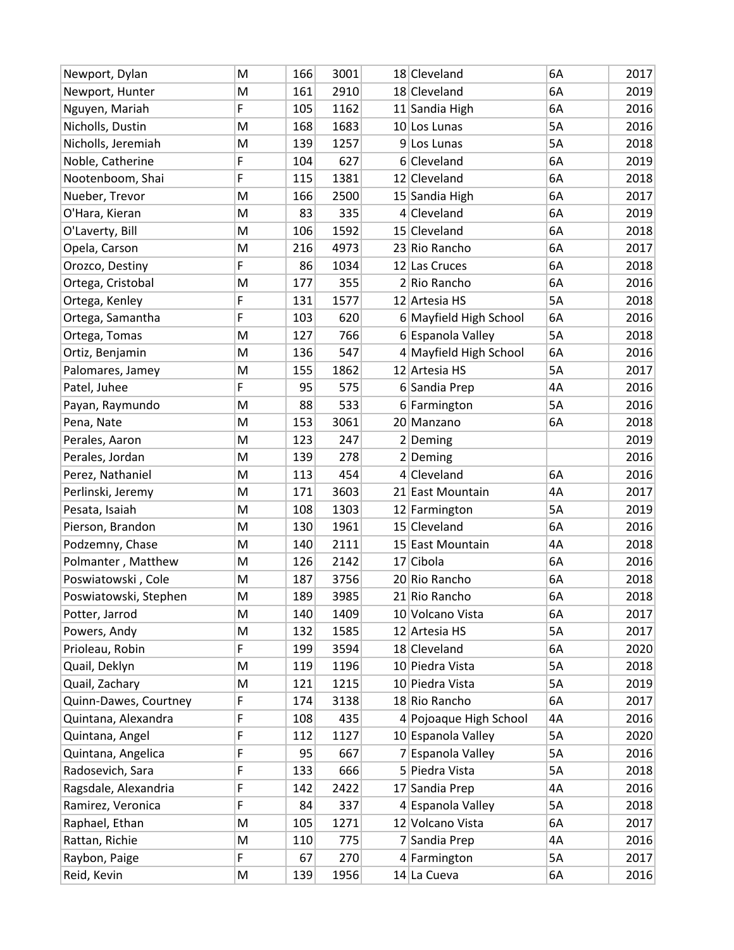| Newport, Dylan        | M | 166 | 3001 | 18 Cleveland           | 6A        | 2017 |
|-----------------------|---|-----|------|------------------------|-----------|------|
| Newport, Hunter       | M | 161 | 2910 | 18 Cleveland           | 6A        | 2019 |
| Nguyen, Mariah        | F | 105 | 1162 | 11 Sandia High         | 6A        | 2016 |
| Nicholls, Dustin      | M | 168 | 1683 | 10 Los Lunas           | <b>5A</b> | 2016 |
| Nicholls, Jeremiah    | M | 139 | 1257 | 9 Los Lunas            | 5A        | 2018 |
| Noble, Catherine      | F | 104 | 627  | 6 Cleveland            | 6A        | 2019 |
| Nootenboom, Shai      | F | 115 | 1381 | 12 Cleveland           | 6A        | 2018 |
| Nueber, Trevor        | M | 166 | 2500 | 15 Sandia High         | 6A        | 2017 |
| O'Hara, Kieran        | M | 83  | 335  | 4 Cleveland            | 6A        | 2019 |
| O'Laverty, Bill       | M | 106 | 1592 | 15 Cleveland           | 6A        | 2018 |
| Opela, Carson         | M | 216 | 4973 | 23 Rio Rancho          | 6A        | 2017 |
| Orozco, Destiny       | F | 86  | 1034 | 12 Las Cruces          | 6A        | 2018 |
| Ortega, Cristobal     | M | 177 | 355  | 2 Rio Rancho           | 6A        | 2016 |
| Ortega, Kenley        | F | 131 | 1577 | 12 Artesia HS          | 5A        | 2018 |
| Ortega, Samantha      | F | 103 | 620  | 6 Mayfield High School | 6A        | 2016 |
| Ortega, Tomas         | M | 127 | 766  | 6 Espanola Valley      | 5A        | 2018 |
| Ortiz, Benjamin       | M | 136 | 547  | 4 Mayfield High School | 6A        | 2016 |
| Palomares, Jamey      | M | 155 | 1862 | 12 Artesia HS          | 5A        | 2017 |
| Patel, Juhee          | F | 95  | 575  | 6 Sandia Prep          | 4A        | 2016 |
| Payan, Raymundo       | M | 88  | 533  | 6 Farmington           | 5A        | 2016 |
| Pena, Nate            | M | 153 | 3061 | 20 Manzano             | 6A        | 2018 |
| Perales, Aaron        | M | 123 | 247  | $2$ Deming             |           | 2019 |
| Perales, Jordan       | M | 139 | 278  | $2$ Deming             |           | 2016 |
| Perez, Nathaniel      | M | 113 | 454  | 4 Cleveland            | 6A        | 2016 |
| Perlinski, Jeremy     | M | 171 | 3603 | 21 East Mountain       | 4A        | 2017 |
| Pesata, Isaiah        | M | 108 | 1303 | 12 Farmington          | 5A        | 2019 |
| Pierson, Brandon      | M | 130 | 1961 | 15 Cleveland           | 6A        | 2016 |
| Podzemny, Chase       | M | 140 | 2111 | 15 East Mountain       | 4A        | 2018 |
| Polmanter, Matthew    | M | 126 | 2142 | 17 Cibola              | 6A        | 2016 |
| Poswiatowski, Cole    | M | 187 | 3756 | 20 Rio Rancho          | 6A        | 2018 |
| Poswiatowski, Stephen | M | 189 | 3985 | 21 Rio Rancho          | 6A        | 2018 |
| Potter, Jarrod        | M | 140 | 1409 | 10 Volcano Vista       | 6A        | 2017 |
| Powers, Andy          | M | 132 | 1585 | 12 Artesia HS          | 5А        | 2017 |
| Prioleau, Robin       | F | 199 | 3594 | 18 Cleveland           | 6A        | 2020 |
| Quail, Deklyn         | M | 119 | 1196 | 10 Piedra Vista        | 5A        | 2018 |
| Quail, Zachary        | M | 121 | 1215 | 10 Piedra Vista        | 5A        | 2019 |
| Quinn-Dawes, Courtney | F | 174 | 3138 | 18 Rio Rancho          | 6A        | 2017 |
| Quintana, Alexandra   | F | 108 | 435  | 4 Pojoaque High School | 4A        | 2016 |
| Quintana, Angel       | F | 112 | 1127 | 10 Espanola Valley     | 5А        | 2020 |
| Quintana, Angelica    | F | 95  | 667  | 7 Espanola Valley      | 5А        | 2016 |
| Radosevich, Sara      | F | 133 | 666  | 5 Piedra Vista         | 5A        | 2018 |
| Ragsdale, Alexandria  | F | 142 | 2422 | 17 Sandia Prep         | 4A        | 2016 |
| Ramirez, Veronica     | F | 84  | 337  | 4 Espanola Valley      | 5A        | 2018 |
| Raphael, Ethan        | M | 105 | 1271 | 12 Volcano Vista       | 6A        | 2017 |
| Rattan, Richie        | M | 110 | 775  | 7 Sandia Prep          | 4A        | 2016 |
| Raybon, Paige         | F | 67  | 270  | 4 Farmington           | 5A        | 2017 |
| Reid, Kevin           | M | 139 | 1956 | $14$ La Cueva          | 6A        | 2016 |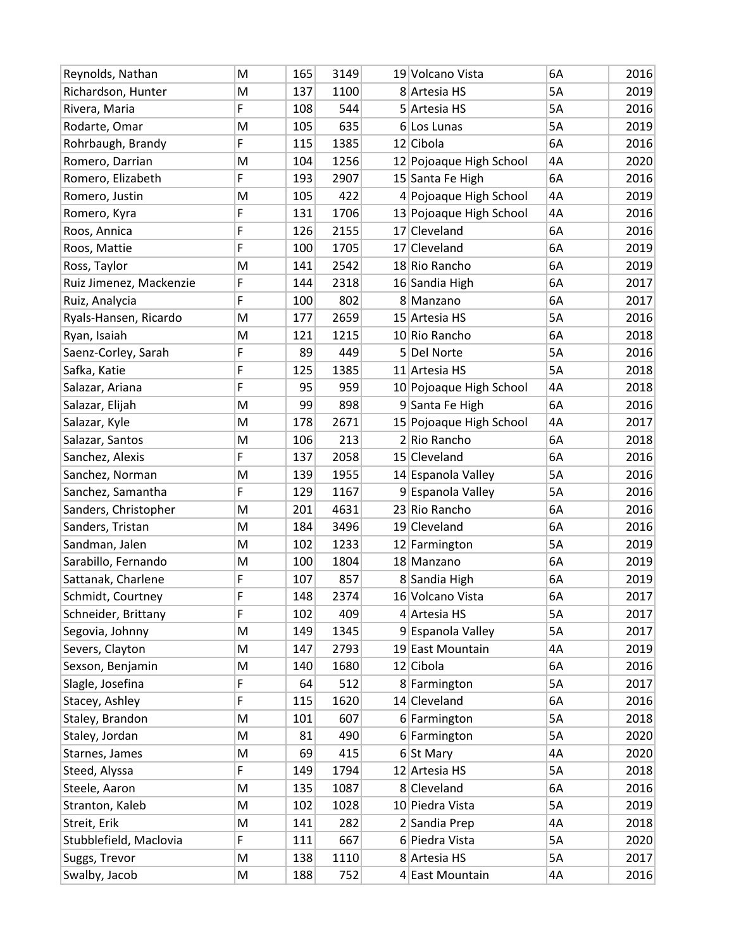| Reynolds, Nathan        | M | 165 | 3149 | 19 Volcano Vista        | 6A | 2016 |
|-------------------------|---|-----|------|-------------------------|----|------|
| Richardson, Hunter      | M | 137 | 1100 | 8 Artesia HS            | 5A | 2019 |
| Rivera, Maria           | F | 108 | 544  | 5 Artesia HS            | 5A | 2016 |
| Rodarte, Omar           | M | 105 | 635  | $6$ Los Lunas           | 5A | 2019 |
| Rohrbaugh, Brandy       | F | 115 | 1385 | 12 Cibola               | 6A | 2016 |
| Romero, Darrian         | M | 104 | 1256 | 12 Pojoaque High School | 4A | 2020 |
| Romero, Elizabeth       | F | 193 | 2907 | 15 Santa Fe High        | 6A | 2016 |
| Romero, Justin          | M | 105 | 422  | 4 Pojoaque High School  | 4A | 2019 |
| Romero, Kyra            | F | 131 | 1706 | 13 Pojoaque High School | 4A | 2016 |
| Roos, Annica            | F | 126 | 2155 | 17 Cleveland            | 6A | 2016 |
| Roos, Mattie            | F | 100 | 1705 | 17 Cleveland            | 6A | 2019 |
| Ross, Taylor            | M | 141 | 2542 | 18 Rio Rancho           | 6A | 2019 |
| Ruiz Jimenez, Mackenzie | F | 144 | 2318 | 16 Sandia High          | 6A | 2017 |
| Ruiz, Analycia          | F | 100 | 802  | 8 Manzano               | 6A | 2017 |
| Ryals-Hansen, Ricardo   | M | 177 | 2659 | 15 Artesia HS           | 5A | 2016 |
| Ryan, Isaiah            | M | 121 | 1215 | 10 Rio Rancho           | 6A | 2018 |
| Saenz-Corley, Sarah     | F | 89  | 449  | 5 Del Norte             | 5A | 2016 |
| Safka, Katie            | F | 125 | 1385 | 11 Artesia HS           | 5A | 2018 |
| Salazar, Ariana         | F | 95  | 959  | 10 Pojoaque High School | 4A | 2018 |
| Salazar, Elijah         | M | 99  | 898  | 9 Santa Fe High         | 6A | 2016 |
| Salazar, Kyle           | M | 178 | 2671 | 15 Pojoaque High School | 4A | 2017 |
| Salazar, Santos         | M | 106 | 213  | 2 Rio Rancho            | 6A | 2018 |
| Sanchez, Alexis         | F | 137 | 2058 | 15 Cleveland            | 6A | 2016 |
| Sanchez, Norman         | M | 139 | 1955 | 14 Espanola Valley      | 5A | 2016 |
| Sanchez, Samantha       | F | 129 | 1167 | 9 Espanola Valley       | 5A | 2016 |
| Sanders, Christopher    | M | 201 | 4631 | 23 Rio Rancho           | 6A | 2016 |
| Sanders, Tristan        | M | 184 | 3496 | 19 Cleveland            | 6A | 2016 |
| Sandman, Jalen          | M | 102 | 1233 | 12 Farmington           | 5A | 2019 |
| Sarabillo, Fernando     | M | 100 | 1804 | 18 Manzano              | 6A | 2019 |
| Sattanak, Charlene      | F | 107 | 857  | 8 Sandia High           | 6A | 2019 |
| Schmidt, Courtney       | F | 148 | 2374 | 16 Volcano Vista        | 6A | 2017 |
| Schneider, Brittany     | F | 102 | 409  | 4 Artesia HS            | 5A | 2017 |
| Segovia, Johnny         | M | 149 | 1345 | 9 Espanola Valley       | 5A | 2017 |
| Severs, Clayton         | M | 147 | 2793 | 19 East Mountain        | 4A | 2019 |
| Sexson, Benjamin        | M | 140 | 1680 | 12 Cibola               | 6A | 2016 |
| Slagle, Josefina        | F | 64  | 512  | 8 Farmington            | 5A | 2017 |
| Stacey, Ashley          | F | 115 | 1620 | 14 Cleveland            | 6A | 2016 |
| Staley, Brandon         | M | 101 | 607  | 6 Farmington            | 5A | 2018 |
| Staley, Jordan          | M | 81  | 490  | 6 Farmington            | 5A | 2020 |
| Starnes, James          | M | 69  | 415  | $6$ St Mary             | 4A | 2020 |
| Steed, Alyssa           | F | 149 | 1794 | 12 Artesia HS           | 5A | 2018 |
| Steele, Aaron           | M | 135 | 1087 | 8 Cleveland             | 6A | 2016 |
| Stranton, Kaleb         | M | 102 | 1028 | 10 Piedra Vista         | 5A | 2019 |
| Streit, Erik            | M | 141 | 282  | 2 Sandia Prep           | 4A | 2018 |
| Stubblefield, Maclovia  | F | 111 | 667  | 6 Piedra Vista          | 5A | 2020 |
| Suggs, Trevor           | M | 138 | 1110 | 8 Artesia HS            | 5A | 2017 |
| Swalby, Jacob           | M | 188 | 752  | 4 East Mountain         | 4A | 2016 |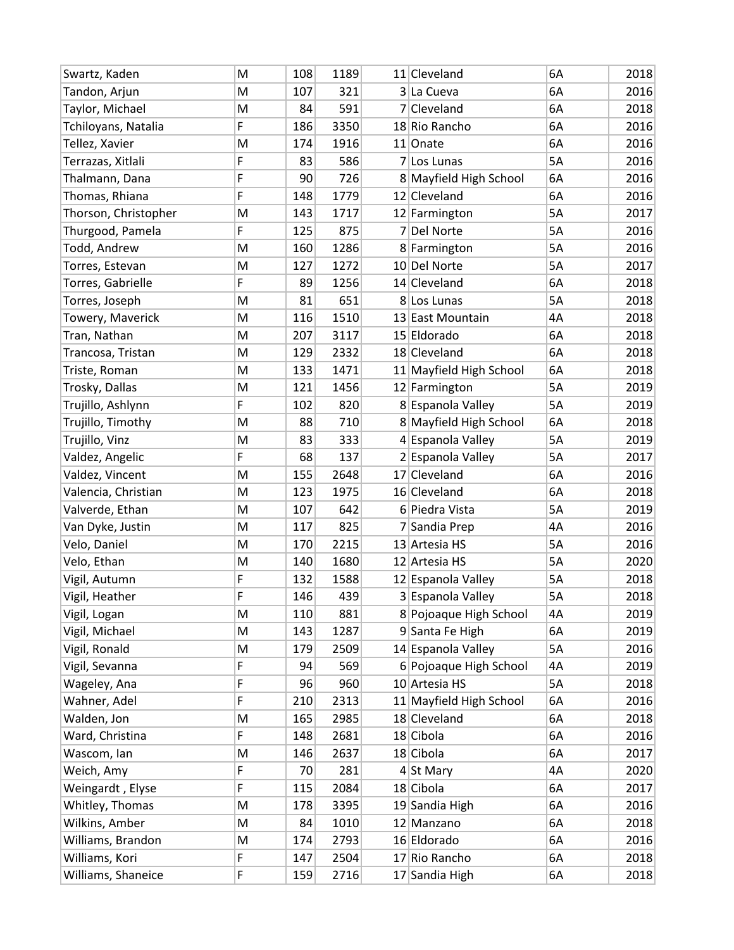| Swartz, Kaden        | M | 108 | 1189 | 11 Cleveland            | 6A | 2018 |
|----------------------|---|-----|------|-------------------------|----|------|
| Tandon, Arjun        | M | 107 | 321  | 3 La Cueva              | 6A | 2016 |
| Taylor, Michael      | M | 84  | 591  | 7 Cleveland             | 6A | 2018 |
| Tchiloyans, Natalia  | F | 186 | 3350 | 18 Rio Rancho           | 6A | 2016 |
| Tellez, Xavier       | M | 174 | 1916 | 11 Onate                | 6A | 2016 |
| Terrazas, Xitlali    | F | 83  | 586  | 7 Los Lunas             | 5A | 2016 |
| Thalmann, Dana       | F | 90  | 726  | 8 Mayfield High School  | 6A | 2016 |
| Thomas, Rhiana       | F | 148 | 1779 | 12 Cleveland            | 6A | 2016 |
| Thorson, Christopher | M | 143 | 1717 | 12 Farmington           | 5A | 2017 |
| Thurgood, Pamela     | F | 125 | 875  | 7 Del Norte             | 5A | 2016 |
| Todd, Andrew         | M | 160 | 1286 | 8 Farmington            | 5A | 2016 |
| Torres, Estevan      | M | 127 | 1272 | 10 Del Norte            | 5A | 2017 |
| Torres, Gabrielle    | F | 89  | 1256 | 14 Cleveland            | 6A | 2018 |
| Torres, Joseph       | M | 81  | 651  | 8 Los Lunas             | 5A | 2018 |
| Towery, Maverick     | M | 116 | 1510 | 13 East Mountain        | 4Α | 2018 |
| Tran, Nathan         | M | 207 | 3117 | 15 Eldorado             | 6A | 2018 |
| Trancosa, Tristan    | M | 129 | 2332 | 18 Cleveland            | 6A | 2018 |
| Triste, Roman        | M | 133 | 1471 | 11 Mayfield High School | 6A | 2018 |
| Trosky, Dallas       | M | 121 | 1456 | 12 Farmington           | 5A | 2019 |
| Trujillo, Ashlynn    | F | 102 | 820  | 8 Espanola Valley       | 5A | 2019 |
| Trujillo, Timothy    | M | 88  | 710  | 8 Mayfield High School  | 6A | 2018 |
| Trujillo, Vinz       | M | 83  | 333  | 4 Espanola Valley       | 5A | 2019 |
| Valdez, Angelic      | F | 68  | 137  | 2 Espanola Valley       | 5A | 2017 |
| Valdez, Vincent      | M | 155 | 2648 | 17 Cleveland            | 6A | 2016 |
| Valencia, Christian  | M | 123 | 1975 | 16 Cleveland            | 6A | 2018 |
| Valverde, Ethan      | M | 107 | 642  | 6 Piedra Vista          | 5A | 2019 |
| Van Dyke, Justin     | M | 117 | 825  | 7 Sandia Prep           | 4Α | 2016 |
| Velo, Daniel         | M | 170 | 2215 | 13 Artesia HS           | 5A | 2016 |
| Velo, Ethan          | M | 140 | 1680 | 12 Artesia HS           | 5A | 2020 |
| Vigil, Autumn        | F | 132 | 1588 | 12 Espanola Valley      | 5A | 2018 |
| Vigil, Heather       | F | 146 | 439  | 3 Espanola Valley       | 5A | 2018 |
| Vigil, Logan         | M | 110 | 881  | 8 Pojoaque High School  | 4A | 2019 |
| Vigil, Michael       | M | 143 | 1287 | 9 Santa Fe High         | 6A | 2019 |
| Vigil, Ronald        | M | 179 | 2509 | 14 Espanola Valley      | 5A | 2016 |
| Vigil, Sevanna       | F | 94  | 569  | 6 Pojoaque High School  | 4A | 2019 |
| Wageley, Ana         | F | 96  | 960  | 10 Artesia HS           | 5A | 2018 |
| Wahner, Adel         | F | 210 | 2313 | 11 Mayfield High School | 6A | 2016 |
| Walden, Jon          | M | 165 | 2985 | 18 Cleveland            | 6A | 2018 |
| Ward, Christina      | F | 148 | 2681 | 18 Cibola               | 6A | 2016 |
| Wascom, Ian          | M | 146 | 2637 | $18$ Cibola             | 6A | 2017 |
| Weich, Amy           | F | 70  | 281  | $4$ St Mary             | 4A | 2020 |
| Weingardt, Elyse     | F | 115 | 2084 | 18 Cibola               | 6A | 2017 |
| Whitley, Thomas      | M | 178 | 3395 | 19 Sandia High          | 6A | 2016 |
| Wilkins, Amber       | M | 84  | 1010 | 12 Manzano              | 6A | 2018 |
| Williams, Brandon    | M | 174 | 2793 | 16 Eldorado             | 6A | 2016 |
| Williams, Kori       | F | 147 | 2504 | 17 Rio Rancho           | 6A | 2018 |
| Williams, Shaneice   | F | 159 | 2716 | 17 Sandia High          | 6A | 2018 |